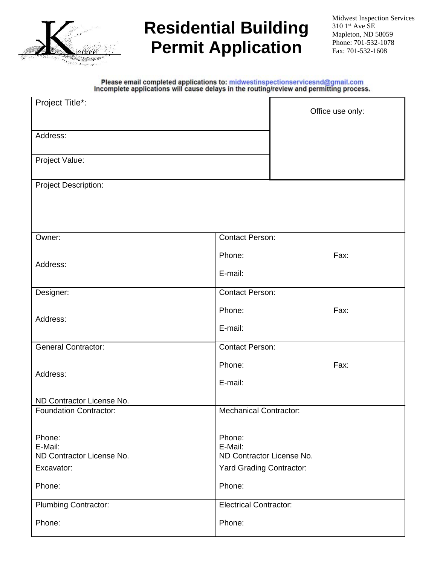

# **Residential Building Permit Application**

# Please email completed applications to: midwestinspectionservicesnd@gmail.com<br>Incomplete applications will cause delays in the routing/review and permitting process.

| Project Title*:                                            |                                      | Office use only: |  |
|------------------------------------------------------------|--------------------------------------|------------------|--|
|                                                            |                                      |                  |  |
| Address:                                                   |                                      |                  |  |
|                                                            |                                      |                  |  |
| Project Value:                                             |                                      |                  |  |
| <b>Project Description:</b>                                |                                      |                  |  |
|                                                            |                                      |                  |  |
|                                                            |                                      |                  |  |
|                                                            |                                      |                  |  |
| Owner:                                                     | <b>Contact Person:</b>               |                  |  |
|                                                            | Phone:                               | Fax:             |  |
| Address:                                                   | E-mail:                              |                  |  |
| Designer:                                                  | <b>Contact Person:</b>               |                  |  |
|                                                            |                                      |                  |  |
| Address:                                                   | Phone:                               | Fax:             |  |
|                                                            | E-mail:                              |                  |  |
| <b>General Contractor:</b>                                 | <b>Contact Person:</b>               |                  |  |
|                                                            | Phone:                               | Fax:             |  |
| Address:                                                   | E-mail:                              |                  |  |
|                                                            |                                      |                  |  |
| ND Contractor License No.<br><b>Foundation Contractor:</b> | <b>Mechanical Contractor:</b>        |                  |  |
|                                                            |                                      |                  |  |
| Phone:                                                     | Phone:                               |                  |  |
| E-Mail:<br>ND Contractor License No.                       | E-Mail:<br>ND Contractor License No. |                  |  |
| Excavator:                                                 | Yard Grading Contractor:             |                  |  |
| Phone:                                                     | Phone:                               |                  |  |
|                                                            |                                      |                  |  |
| <b>Plumbing Contractor:</b>                                | <b>Electrical Contractor:</b>        |                  |  |
| Phone:                                                     | Phone:                               |                  |  |
|                                                            |                                      |                  |  |